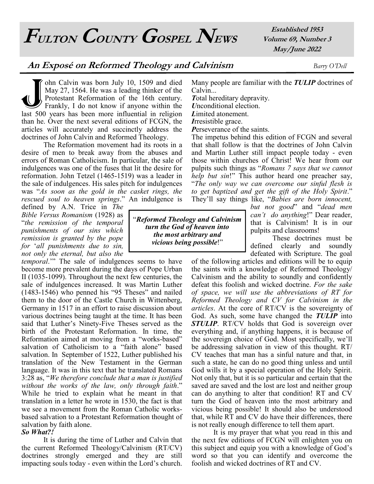**FULTON COUNTY GOSPEL NEWS**

**Established 1953 Volume 69, Number 3 May/June 2022**

## **An Exposé on Reformed Theology and Calvinism** *Barry O'Dell*

 $\bigcup_{\text{last 500}}$ ohn Calvin was born July 10, 1509 and died May 27, 1564. He was a leading thinker of the Protestant Reformation of the 16th century. Frankly, I do not know if anyone within the last 500 years has been more influential in religion than he. Over the next several editions of FCGN, the articles will accurately and succinctly address the doctrines of John Calvin and Reformed Theology.

The Reformation movement had its roots in a desire of men to break away from the abuses and errors of Roman Catholicism. In particular, the sale of indulgences was one of the fuses that lit the desire for reformation. John Tetzel (1465-1519) was a leader in the sale of indulgences. His sales pitch for indulgences was "*As soon as the gold in the casket rings, the rescued soul to heaven springs*." An indulgence is

defined by A.N. Trice in *The Bible Versus Romanism* (1928) as "*the remission of the temporal punishments of our sins which remission is granted by the pope for* '*all punishments due to sin, not only the eternal, but also the* 

*temporal*.'" The sale of indulgences seems to have become more prevalent during the days of Pope Urban II (1035-1099). Throughout the next few centuries, the sale of indulgences increased. It was Martin Luther (1483-1546) who penned his "95 Theses" and nailed them to the door of the Castle Church in Wittenberg, Germany in 1517 in an effort to raise discussion about various doctrines being taught at the time. It has been said that Luther's Ninety-Five Theses served as the birth of the Protestant Reformation. In time, the Reformation aimed at moving from a "works-based" salvation of Catholicism to a "faith alone" based salvation. In September of 1522, Luther published his translation of the New Testament in the German language. It was in this text that he translated Romans 3:28 as, "*We therefore conclude that a man is justified without the works of the law, only through faith*." While he tried to explain what he meant in that translation in a letter he wrote in 1530, the fact is that we see a movement from the Roman Catholic worksbased salvation to a Protestant Reformation thought of salvation by faith alone.

## *So What?!*

It is during the time of Luther and Calvin that the current Reformed Theology/Calvinism (RT/CV) doctrines strongly emerged and they are still impacting souls today - even within the Lord's church.

Many people are familiar with the *TULIP* doctrines of Calvin...

*T*otal hereditary depravity.

*U*nconditional election. *L*imited atonement.

*I*rresistible grace.

*P*erseverance of the saints.

The impetus behind this edition of FCGN and several that shall follow is that the doctrines of John Calvin and Martin Luther still impact people today - even those within churches of Christ! We hear from our pulpits such things as "*Romans 7 says that we cannot help but sin*!" This author heard one preacher say, "*The only way we can overcome our sinful flesh is to get baptized and get the gift of the Holy Spirit*." They'll say things like, "*Babies are born innocent,* 

*but not good*" and "*dead men can't do anything*!" Dear reader, that is Calvinism! It is in our pulpits and classrooms!

These doctrines must be defined clearly and soundly defeated with Scripture. The goal

of the following articles and editions will be to equip the saints with a knowledge of Reformed Theology/ Calvinism and the ability to soundly and confidently defeat this foolish and wicked doctrine. *For the sake of space, we will use the abbreviations of RT for Reformed Theology and CV for Calvinism in the articles*. At the core of RT/CV is the sovereignty of God. As such, some have changed the *TULIP* into *STULIP*. RT/CV holds that God is sovereign over everything and, if anything happens, it is because of the sovereign choice of God. Most specifically, we'll be addressing salvation in view of this thought. RT/ CV teaches that man has a sinful nature and that, in such a state, he can do no good thing unless and until God wills it by a special operation of the Holy Spirit. Not only that, but it is so particular and certain that the saved are saved and the lost are lost and neither group can do anything to alter that condition! RT and CV turn the God of heaven into the most arbitrary and vicious being possible! It should also be understood that, while RT and CV do have their differences, there is not really enough difference to tell them apart.

It is my prayer that what you read in this and the next few editions of FCGN will enlighten you on this subject and equip you with a knowledge of God's word so that you can identify and overcome the foolish and wicked doctrines of RT and CV.

"*Reformed Theology and Calvinism turn the God of heaven into the most arbitrary and vicious being possible*!"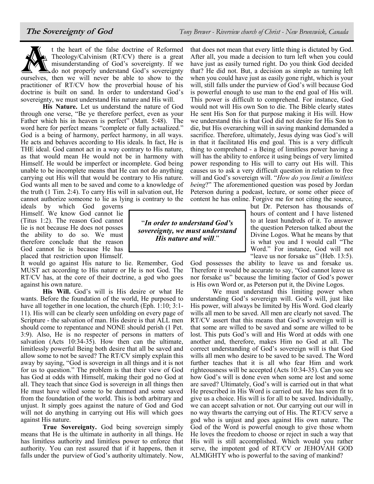

**His Nature.** Let us understand the nature of God through one verse, "Be ye therefore perfect, even as your Father which his in heaven is perfect" (Matt. 5:48). The word here for perfect means "complete or fully actualized." God is a being of harmony, perfect harmony, in all ways. He acts and behaves according to His ideals. In fact, He is THE ideal. God cannot act in a way contrary to His nature, as that would mean He would not be in harmony with Himself. He would be imperfect or incomplete. God being unable to be incomplete means that He can not do anything carrying out His will that would be contrary to His nature. God wants all men to be saved and come to a knowledge of the truth (1 Tim. 2:4). To carry His will in salvation out, He cannot authorize someone to lie as lying is contrary to the

ideals by which God governs Himself. We know God cannot lie (Titus 1:2). The reason God cannot lie is not because He does not posses the ability to do so. We must therefore conclude that the reason God cannot lie is because He has placed that restriction upon Himself.

It would go against His nature to lie. Remember, God MUST act according to His nature or He is not God. The RT/CV has, at the core of their doctrine, a god who goes against his own nature.

**His Will.** God's will is His desire or what He wants. Before the foundation of the world, He purposed to have all together in one location, the church (Eph. 1:10; 3:1-11). His will can be clearly seen unfolding on every page of Scripture - the salvation of man. His desire is that ALL men should come to repentance and NONE should perish (1 Pet. 3:9). Also, He is no respecter of persons in matters of salvation (Acts 10:34-35). How then can the ultimate, limitlessly powerful Being both desire that all be saved and allow some to not be saved? The RT/CV simply explain this away by saying, "God is sovereign in all things and it is not for us to question." The problem is that their view of God has God at odds with Himself, making their god no God at all. They teach that since God is sovereign in all things then He must have willed some to be damned and some saved from the foundation of the world. This is both arbitrary and unjust. It simply goes against the nature of God and God will not do anything in carrying out His will which goes against His nature.

**True Sovereignty.** God being sovereign simply means that He is the ultimate in authority in all things. He has limitless authority and limitless power to enforce that authority. You can rest assured that if it happens, then it falls under the purview of God's authority ultimately. Now, that does not mean that every little thing is dictated by God. After all, you made a decision to turn left when you could have just as easily turned right. Do you think God decided that? He did not. But, a decision as simple as turning left when you could have just as easily gone right, which is your will, still falls under the purview of God's will because God is powerful enough to use man to the end goal of His will. This power is difficult to comprehend. For instance, God would not will His own Son to die. The Bible clearly states He sent His Son for that purpose making it His will. How we understand this is that God did not desire for His Son to die, but His overarching will in saving mankind demanded a sacrifice. Therefore, ultimately, Jesus dying was God's will in that it facilitated His end goal. This is a very difficult thing to comprehend - a Being of limitless power having a will has the ability to enforce it using beings of very limited power responding to His will to carry out His will. This causes us to ask a very difficult question in relation to free will and God's sovereign will. "*How do you limit a limitless being*?" The aforementioned question was posed by Jordan Peterson during a podcast, lecture, or some other piece of content he has online. Forgive me for not citing the source,

"*In order to understand God's sovereignty, we must understand His nature and will*."

but Dr. Peterson has thousands of hours of content and I have listened to at least hundreds of it. To answer the question Peterson talked about the Divine Logos. What he means by that is what you and I would call "The Word." For instance, God will not "leave us nor forsake us" (Heb. 13:5).

God possesses the ability to leave us and forsake us. Therefore it would be accurate to say, "God cannot leave us nor forsake us" because the limiting factor of God's power is His own Word or, as Peterson put it, the Divine Logos.

We must understand this limiting power when understanding God's sovereign will. God's will, just like His power, will always be limited by His Word. God clearly wills all men to be saved. All men are clearly not saved. The RT/CV assert that this means that God's sovereign will is that some are willed to be saved and some are willed to be lost. This puts God's will and His Word at odds with one another and, therefore, makes Him no God at all. The correct understanding of God's sovereign will is that God wills all men who desire to be saved to be saved. The Word further teaches that it is all who fear Him and work righteousness will be accepted (Acts 10:34-35). Can you see how God's will is done even when some are lost and some are saved? Ultimately, God's will is carried out in that what He prescribed in His Word is carried out. He has seen fit to give us a choice. His will is for all to be saved. Individually, we can accept salvation or not. Our carrying out our will in no way thwarts the carrying out of His. The RT/CV serve a god who is unjust and goes against His own nature. The God of the Word is powerful enough to give those whom He loves the freedom to choose or reject in such a way that His will is still accomplished. Which would you rather serve, the impotent god of RT/CV or JEHOVAH GOD ALMIGHTY who is powerful to the saving of mankind?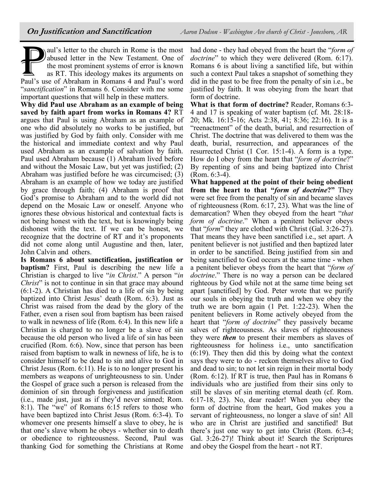aul's letter to the church in Rome is the most<br>abused letter in the New Testament. One of<br>the most prominent systems of error is known<br>as RT. This ideology makes its arguments on<br>Paul's use of Abraham in Romans 4 and Paul' aul's letter to the church in Rome is the most abused letter in the New Testament. One of the most prominent systems of error is known as RT. This ideology makes its arguments on "*sanctification*" in Romans 6. Consider with me some important questions that will help in these matters.

**Why did Paul use Abraham as an example of being saved by faith apart from works in Romans 4?** RT argues that Paul is using Abraham as an example of one who did absolutely no works to be justified, but was justified by God by faith only. Consider with me the historical and immediate context and why Paul used Abraham as an example of salvation by faith. Paul used Abraham because (1) Abraham lived before and without the Mosaic Law, but yet was justified; (2) Abraham was justified before he was circumcised; (3) Abraham is an example of how we today are justified by grace through faith; (4) Abraham is proof that God's promise to Abraham and to the world did not depend on the Mosaic Law or oneself. Anyone who ignores these obvious historical and contextual facts is not being honest with the text, but is knowingly being dishonest with the text. If we can be honest, we recognize that the doctrine of RT and it's proponents did not come along until Augustine and then, later, John Calvin and others.

**Is Romans 6 about sanctification, justification or baptism?** First, Paul is describing the new life a Christian is charged to live "*in Christ*." A person "*in Christ*" is not to continue in sin that grace may abound (6:1-2). A Christian has died to a life of sin by being baptized into Christ Jesus' death (Rom. 6:3). Just as Christ was raised from the dead by the glory of the Father, even a risen soul from baptism has been raised to walk in newness of life (Rom. 6:4). In this new life a Christian is charged to no longer be a slave of sin because the old person who lived a life of sin has been crucified (Rom. 6:6). Now, since that person has been raised from baptism to walk in newness of life, he is to consider himself to be dead to sin and alive to God in Christ Jesus (Rom. 6:11). He is to no longer present his members as weapons of unrighteousness to sin. Under the Gospel of grace such a person is released from the dominion of sin through forgiveness and justification (i.e., made just, just as if they'd never sinned; Rom. 8:1). The "we" of Romans 6:15 refers to those who have been baptized into Christ Jesus (Rom. 6:3-4). To whomever one presents himself a slave to obey, he is that one's slave whom he obeys - whether sin to death or obedience to righteousness. Second, Paul was thanking God for something the Christians at Rome

had done - they had obeyed from the heart the "*form of doctrine*" to which they were delivered (Rom. 6:17). Romans 6 is about living a sanctified life, but within such a context Paul takes a snapshot of something they did in the past to be free from the penalty of sin i.e., be justified by faith. It was obeying from the heart that form of doctrine.

**What is that form of doctrine?** Reader, Romans 6:3- 4 and 17 is speaking of water baptism (cf. Mt. 28:18- 20; Mk. 16:15-16; Acts 2:38, 41; 8:36; 22:16). It is a "reenactment" of the death, burial, and resurrection of Christ. The doctrine that was delivered to them was the death, burial, resurrection, and appearances of the resurrected Christ (1 Cor. 15:1-4). A form is a type. How do I obey from the heart that "*form of doctrine*?" By repenting of sins and being baptized into Christ (Rom. 6:3-4).

**What happened at the point of their being obedient from the heart to that "***form of doctrine***?"** They were set free from the penalty of sin and became slaves of righteousness (Rom. 6:17, 23). What was the line of demarcation? When they obeyed from the heart "*that form of doctrine*." When a penitent believer obeys that "*form*" they are clothed with Christ (Gal. 3:26-27). That means they have been sanctified i.e., set apart. A penitent believer is not justified and then baptized later in order to be sanctified. Being justified from sin and being sanctified to God occurs at the same time - when a penitent believer obeys from the heart that "*form of doctrine*." There is no way a person can be declared righteous by God while not at the same time being set apart [sanctified] by God. Peter wrote that we purify our souls in obeying the truth and when we obey the truth we are born again (1 Pet. 1:22-23). When the penitent believers in Rome actively obeyed from the heart that "*form of doctrine*" they passively became salves of righteousness. As slaves of righteousness they were *then* to present their members as slaves of righteousness for holiness i.e., unto sanctification (6:19). They then did this by doing what the context says they were to do - reckon themselves alive to God and dead to sin; to not let sin reign in their mortal body (Rom. 6:12). If RT is true, then Paul has in Romans 6 individuals who are justified from their sins only to still be slaves of sin meriting eternal death (cf. Rom. 6:17-18, 23). No, dear reader! When you obey the form of doctrine from the heart, God makes you a servant of righteousness, no longer a slave of sin! All who are in Christ are justified and sanctified! But there's just one way to get into Christ (Rom. 6:3-4; Gal. 3:26-27)! Think about it! Search the Scriptures and obey the Gospel from the heart - not RT.